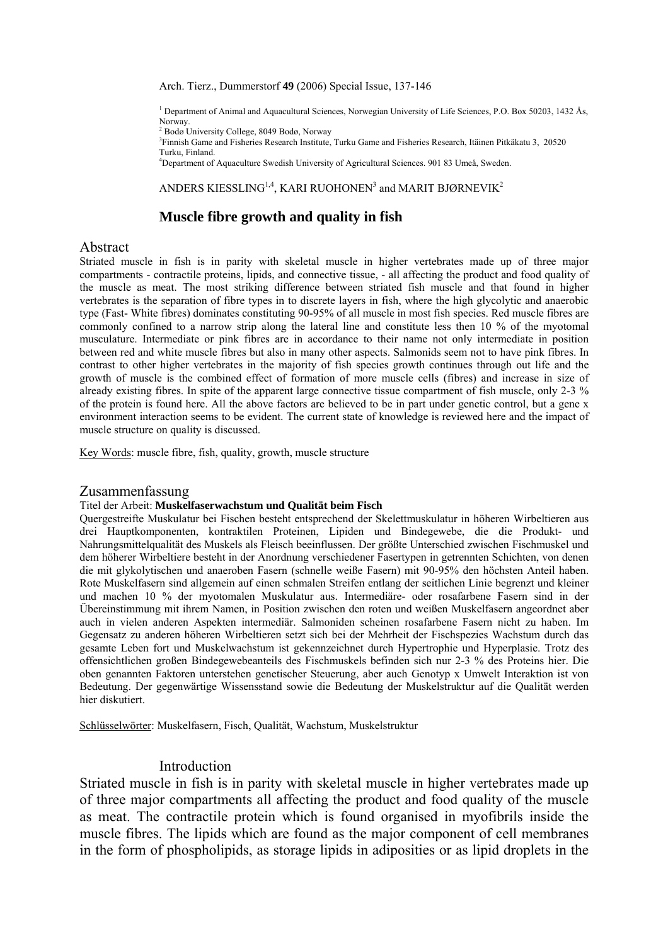#### Arch. Tierz., Dummerstorf **49** (2006) Special Issue, 137-146

<sup>1</sup> Department of Animal and Aquacultural Sciences, Norwegian University of Life Sciences, P.O. Box 50203, 1432 Ås, Norway.

2 Bodø University College, 8049 Bodø, Norway

3 Finnish Game and Fisheries Research Institute, Turku Game and Fisheries Research, Itäinen Pitkäkatu 3, 20520 Turku, Finland.

4 Department of Aquaculture Swedish University of Agricultural Sciences. 901 83 Umeå, Sweden.

#### ANDERS KIESSLING $^{1,4}$ , KARI RUOHONEN $^3$  and MARIT BJØRNEVIK $^2$

# **Muscle fibre growth and quality in fish**

## Abstract

Striated muscle in fish is in parity with skeletal muscle in higher vertebrates made up of three major compartments - contractile proteins, lipids, and connective tissue, - all affecting the product and food quality of the muscle as meat. The most striking difference between striated fish muscle and that found in higher vertebrates is the separation of fibre types in to discrete layers in fish, where the high glycolytic and anaerobic type (Fast- White fibres) dominates constituting 90-95% of all muscle in most fish species. Red muscle fibres are commonly confined to a narrow strip along the lateral line and constitute less then 10 % of the myotomal musculature. Intermediate or pink fibres are in accordance to their name not only intermediate in position between red and white muscle fibres but also in many other aspects. Salmonids seem not to have pink fibres. In contrast to other higher vertebrates in the majority of fish species growth continues through out life and the growth of muscle is the combined effect of formation of more muscle cells (fibres) and increase in size of already existing fibres. In spite of the apparent large connective tissue compartment of fish muscle, only 2-3 % of the protein is found here. All the above factors are believed to be in part under genetic control, but a gene x environment interaction seems to be evident. The current state of knowledge is reviewed here and the impact of muscle structure on quality is discussed.

Key Words: muscle fibre, fish, quality, growth, muscle structure

## Zusammenfassung

#### Titel der Arbeit: **Muskelfaserwachstum und Qualität beim Fisch**

Quergestreifte Muskulatur bei Fischen besteht entsprechend der Skelettmuskulatur in höheren Wirbeltieren aus drei Hauptkomponenten, kontraktilen Proteinen, Lipiden und Bindegewebe, die die Produkt- und Nahrungsmittelqualität des Muskels als Fleisch beeinflussen. Der größte Unterschied zwischen Fischmuskel und dem höherer Wirbeltiere besteht in der Anordnung verschiedener Fasertypen in getrennten Schichten, von denen die mit glykolytischen und anaeroben Fasern (schnelle weiße Fasern) mit 90-95% den höchsten Anteil haben. Rote Muskelfasern sind allgemein auf einen schmalen Streifen entlang der seitlichen Linie begrenzt und kleiner und machen 10 % der myotomalen Muskulatur aus. Intermediäre- oder rosafarbene Fasern sind in der Übereinstimmung mit ihrem Namen, in Position zwischen den roten und weißen Muskelfasern angeordnet aber auch in vielen anderen Aspekten intermediär. Salmoniden scheinen rosafarbene Fasern nicht zu haben. Im Gegensatz zu anderen höheren Wirbeltieren setzt sich bei der Mehrheit der Fischspezies Wachstum durch das gesamte Leben fort und Muskelwachstum ist gekennzeichnet durch Hypertrophie und Hyperplasie. Trotz des offensichtlichen großen Bindegewebeanteils des Fischmuskels befinden sich nur 2-3 % des Proteins hier. Die oben genannten Faktoren unterstehen genetischer Steuerung, aber auch Genotyp x Umwelt Interaktion ist von Bedeutung. Der gegenwärtige Wissensstand sowie die Bedeutung der Muskelstruktur auf die Qualität werden hier diskutiert.

Schlüsselwörter: Muskelfasern, Fisch, Qualität, Wachstum, Muskelstruktur

## Introduction

Striated muscle in fish is in parity with skeletal muscle in higher vertebrates made up of three major compartments all affecting the product and food quality of the muscle as meat. The contractile protein which is found organised in myofibrils inside the muscle fibres. The lipids which are found as the major component of cell membranes in the form of phospholipids, as storage lipids in adiposities or as lipid droplets in the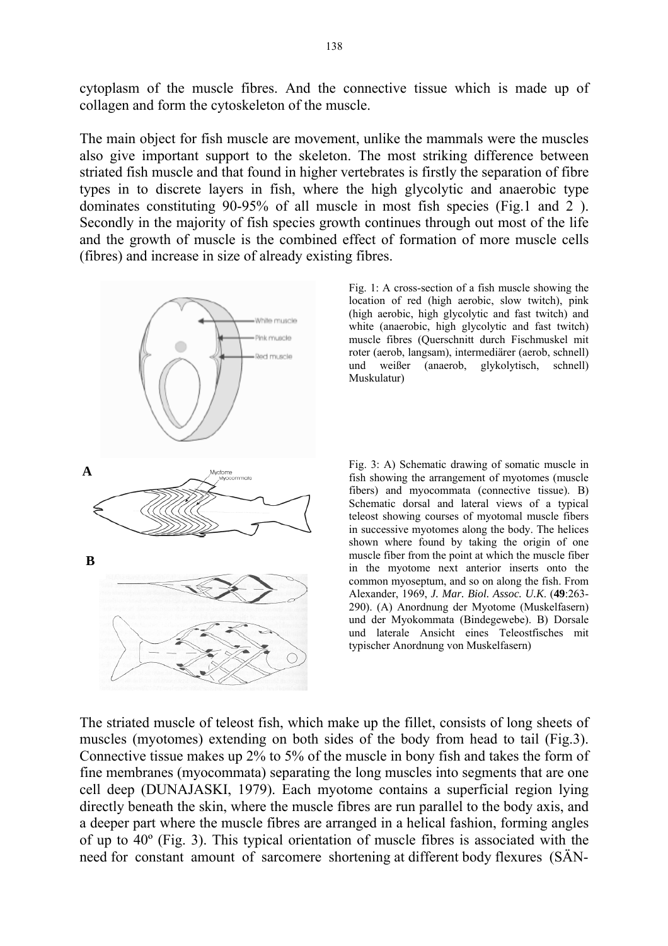cytoplasm of the muscle fibres. And the connective tissue which is made up of collagen and form the cytoskeleton of the muscle.

The main object for fish muscle are movement, unlike the mammals were the muscles also give important support to the skeleton. The most striking difference between striated fish muscle and that found in higher vertebrates is firstly the separation of fibre types in to discrete layers in fish, where the high glycolytic and anaerobic type dominates constituting 90-95% of all muscle in most fish species (Fig.1 and 2 ). Secondly in the majority of fish species growth continues through out most of the life and the growth of muscle is the combined effect of formation of more muscle cells (fibres) and increase in size of already existing fibres.



Fig. 1: A cross-section of a fish muscle showing the location of red (high aerobic, slow twitch), pink (high aerobic, high glycolytic and fast twitch) and white (anaerobic, high glycolytic and fast twitch) muscle fibres (Querschnitt durch Fischmuskel mit roter (aerob, langsam), intermediärer (aerob, schnell) und weißer (anaerob, glykolytisch, schnell) Muskulatur)

Fig. 3: A) Schematic drawing of somatic muscle in fish showing the arrangement of myotomes (muscle fibers) and myocommata (connective tissue). B) Schematic dorsal and lateral views of a typical teleost showing courses of myotomal muscle fibers in successive myotomes along the body. The helices shown where found by taking the origin of one muscle fiber from the point at which the muscle fiber in the myotome next anterior inserts onto the common myoseptum, and so on along the fish. From Alexander, 1969, *J. Mar. Biol. Assoc. U.K*. (**49**:263- 290). (A) Anordnung der Myotome (Muskelfasern) und der Myokommata (Bindegewebe). B) Dorsale und laterale Ansicht eines Teleostfisches mit typischer Anordnung von Muskelfasern)

The striated muscle of teleost fish, which make up the fillet, consists of long sheets of muscles (myotomes) extending on both sides of the body from head to tail (Fig.3). Connective tissue makes up 2% to 5% of the muscle in bony fish and takes the form of fine membranes (myocommata) separating the long muscles into segments that are one cell deep (DUNAJASKI, 1979). Each myotome contains a superficial region lying directly beneath the skin, where the muscle fibres are run parallel to the body axis, and a deeper part where the muscle fibres are arranged in a helical fashion, forming angles of up to 40º (Fig. 3). This typical orientation of muscle fibres is associated with the need for constant amount of sarcomere shortening at different body flexures (SÄN-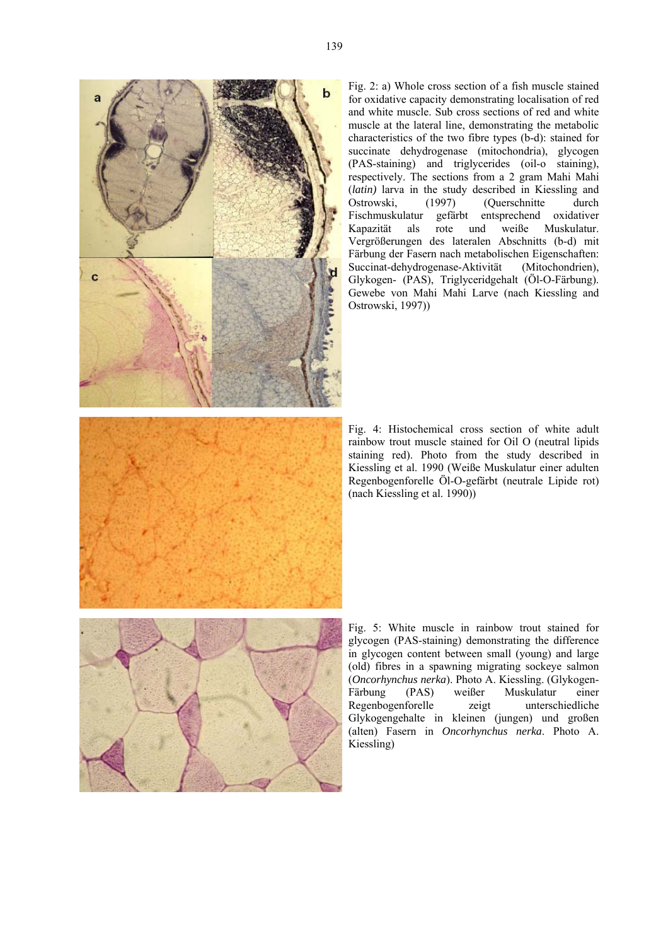

Fig. 2: a) Whole cross section of a fish muscle stained for oxidative capacity demonstrating localisation of red and white muscle. Sub cross sections of red and white muscle at the lateral line, demonstrating the metabolic characteristics of the two fibre types (b-d): stained for succinate dehydrogenase (mitochondria), glycogen (PAS-staining) and triglycerides (oil-o staining), respectively. The sections from a 2 gram Mahi Mahi (*latin)* larva in the study described in Kiessling and Ostrowski, (1997) (Querschnitte durch<br>Fischmuskulatur gefärbt entsprechend oxidativer Fischmuskulatur gefärbt entsprechend oxidativer Kapazität als rote und weiße Muskulatur. Vergrößerungen des lateralen Abschnitts (b-d) mit Färbung der Fasern nach metabolischen Eigenschaften: Succinat-dehydrogenase-Aktivität (Mitochondrien), Glykogen- (PAS), Triglyceridgehalt (Öl-O-Färbung). Gewebe von Mahi Mahi Larve (nach Kiessling and Ostrowski, 1997))

Fig. 4: Histochemical cross section of white adult rainbow trout muscle stained for Oil O (neutral lipids staining red). Photo from the study described in Kiessling et al. 1990 (Weiße Muskulatur einer adulten Regenbogenforelle Öl-O-gefärbt (neutrale Lipide rot) (nach Kiessling et al. 1990))

Fig. 5: White muscle in rainbow trout stained for glycogen (PAS-staining) demonstrating the difference in glycogen content between small (young) and large (old) fibres in a spawning migrating sockeye salmon (*Oncorhynchus nerka*). Photo A. Kiessling. (Glykogen-Färbung (PAS) weißer Muskulatur einer Regenbogenforelle zeigt unterschiedliche Glykogengehalte in kleinen (jungen) und großen (alten) Fasern in *Oncorhynchus nerka*. Photo A. Kiessling)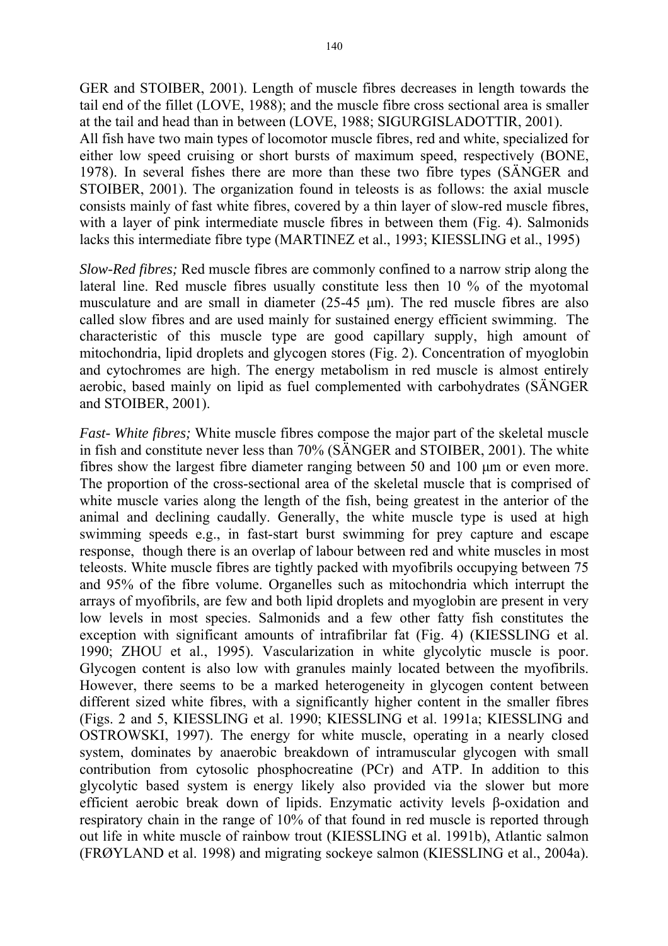GER and STOIBER, 2001). Length of muscle fibres decreases in length towards the tail end of the fillet (LOVE, 1988); and the muscle fibre cross sectional area is smaller at the tail and head than in between (LOVE, 1988; SIGURGISLADOTTIR, 2001). All fish have two main types of locomotor muscle fibres, red and white, specialized for either low speed cruising or short bursts of maximum speed, respectively (BONE, 1978). In several fishes there are more than these two fibre types (SÄNGER and STOIBER, 2001). The organization found in teleosts is as follows: the axial muscle consists mainly of fast white fibres, covered by a thin layer of slow-red muscle fibres, with a layer of pink intermediate muscle fibres in between them (Fig. 4). Salmonids lacks this intermediate fibre type (MARTINEZ et al., 1993; KIESSLING et al., 1995)

*Slow-Red fibres;* Red muscle fibres are commonly confined to a narrow strip along the lateral line. Red muscle fibres usually constitute less then 10 % of the myotomal musculature and are small in diameter (25-45 µm). The red muscle fibres are also called slow fibres and are used mainly for sustained energy efficient swimming. The characteristic of this muscle type are good capillary supply, high amount of mitochondria, lipid droplets and glycogen stores (Fig. 2). Concentration of myoglobin and cytochromes are high. The energy metabolism in red muscle is almost entirely aerobic, based mainly on lipid as fuel complemented with carbohydrates (SÄNGER and STOIBER, 2001).

*Fast- White fibres;* White muscle fibres compose the major part of the skeletal muscle in fish and constitute never less than 70% (SÄNGER and STOIBER, 2001). The white fibres show the largest fibre diameter ranging between 50 and 100 µm or even more. The proportion of the cross-sectional area of the skeletal muscle that is comprised of white muscle varies along the length of the fish, being greatest in the anterior of the animal and declining caudally. Generally, the white muscle type is used at high swimming speeds e.g., in fast-start burst swimming for prey capture and escape response, though there is an overlap of labour between red and white muscles in most teleosts. White muscle fibres are tightly packed with myofibrils occupying between 75 and 95% of the fibre volume. Organelles such as mitochondria which interrupt the arrays of myofibrils, are few and both lipid droplets and myoglobin are present in very low levels in most species. Salmonids and a few other fatty fish constitutes the exception with significant amounts of intrafibrilar fat (Fig. 4) (KIESSLING et al. 1990; ZHOU et al., 1995). Vascularization in white glycolytic muscle is poor. Glycogen content is also low with granules mainly located between the myofibrils. However, there seems to be a marked heterogeneity in glycogen content between different sized white fibres, with a significantly higher content in the smaller fibres (Figs. 2 and 5, KIESSLING et al. 1990; KIESSLING et al. 1991a; KIESSLING and OSTROWSKI, 1997). The energy for white muscle, operating in a nearly closed system, dominates by anaerobic breakdown of intramuscular glycogen with small contribution from cytosolic phosphocreatine (PCr) and ATP. In addition to this glycolytic based system is energy likely also provided via the slower but more efficient aerobic break down of lipids. Enzymatic activity levels β-oxidation and respiratory chain in the range of 10% of that found in red muscle is reported through out life in white muscle of rainbow trout (KIESSLING et al. 1991b), Atlantic salmon (FRØYLAND et al. 1998) and migrating sockeye salmon (KIESSLING et al., 2004a).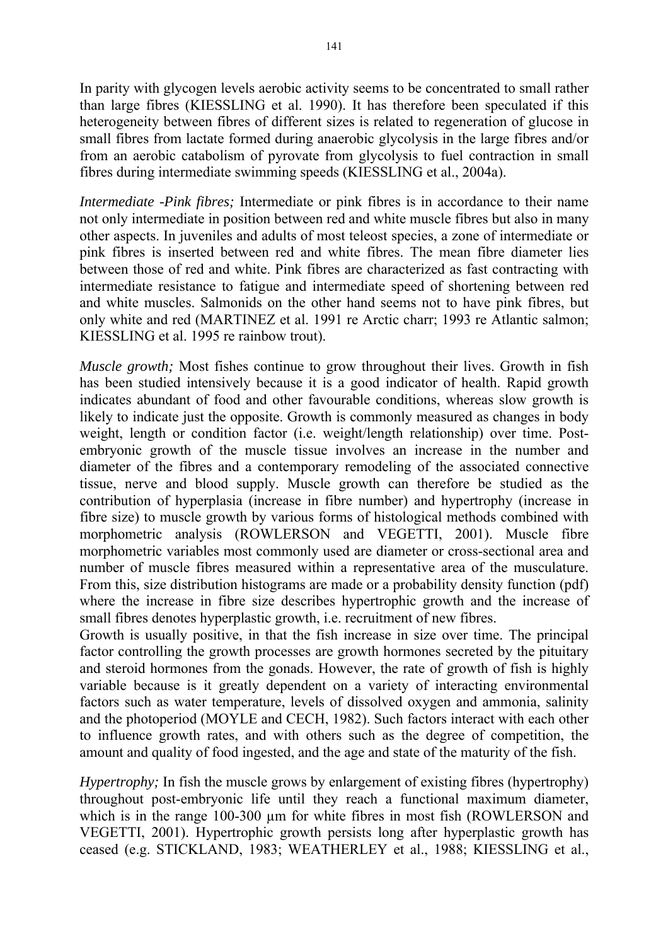In parity with glycogen levels aerobic activity seems to be concentrated to small rather than large fibres (KIESSLING et al. 1990). It has therefore been speculated if this heterogeneity between fibres of different sizes is related to regeneration of glucose in small fibres from lactate formed during anaerobic glycolysis in the large fibres and/or from an aerobic catabolism of pyrovate from glycolysis to fuel contraction in small fibres during intermediate swimming speeds (KIESSLING et al., 2004a).

*Intermediate -Pink fibres;* Intermediate or pink fibres is in accordance to their name not only intermediate in position between red and white muscle fibres but also in many other aspects. In juveniles and adults of most teleost species, a zone of intermediate or pink fibres is inserted between red and white fibres. The mean fibre diameter lies between those of red and white. Pink fibres are characterized as fast contracting with intermediate resistance to fatigue and intermediate speed of shortening between red and white muscles. Salmonids on the other hand seems not to have pink fibres, but only white and red (MARTINEZ et al. 1991 re Arctic charr; 1993 re Atlantic salmon; KIESSLING et al. 1995 re rainbow trout).

*Muscle growth;* Most fishes continue to grow throughout their lives. Growth in fish has been studied intensively because it is a good indicator of health. Rapid growth indicates abundant of food and other favourable conditions, whereas slow growth is likely to indicate just the opposite. Growth is commonly measured as changes in body weight, length or condition factor (i.e. weight/length relationship) over time. Postembryonic growth of the muscle tissue involves an increase in the number and diameter of the fibres and a contemporary remodeling of the associated connective tissue, nerve and blood supply. Muscle growth can therefore be studied as the contribution of hyperplasia (increase in fibre number) and hypertrophy (increase in fibre size) to muscle growth by various forms of histological methods combined with morphometric analysis (ROWLERSON and VEGETTI, 2001). Muscle fibre morphometric variables most commonly used are diameter or cross-sectional area and number of muscle fibres measured within a representative area of the musculature. From this, size distribution histograms are made or a probability density function (pdf) where the increase in fibre size describes hypertrophic growth and the increase of small fibres denotes hyperplastic growth, i.e. recruitment of new fibres.

Growth is usually positive, in that the fish increase in size over time. The principal factor controlling the growth processes are growth hormones secreted by the pituitary and steroid hormones from the gonads. However, the rate of growth of fish is highly variable because is it greatly dependent on a variety of interacting environmental factors such as water temperature, levels of dissolved oxygen and ammonia, salinity and the photoperiod (MOYLE and CECH, 1982). Such factors interact with each other to influence growth rates, and with others such as the degree of competition, the amount and quality of food ingested, and the age and state of the maturity of the fish.

*Hypertrophy*; In fish the muscle grows by enlargement of existing fibres (hypertrophy) throughout post-embryonic life until they reach a functional maximum diameter, which is in the range 100-300 µm for white fibres in most fish (ROWLERSON and VEGETTI, 2001). Hypertrophic growth persists long after hyperplastic growth has ceased (e.g. STICKLAND, 1983; WEATHERLEY et al., 1988; KIESSLING et al.,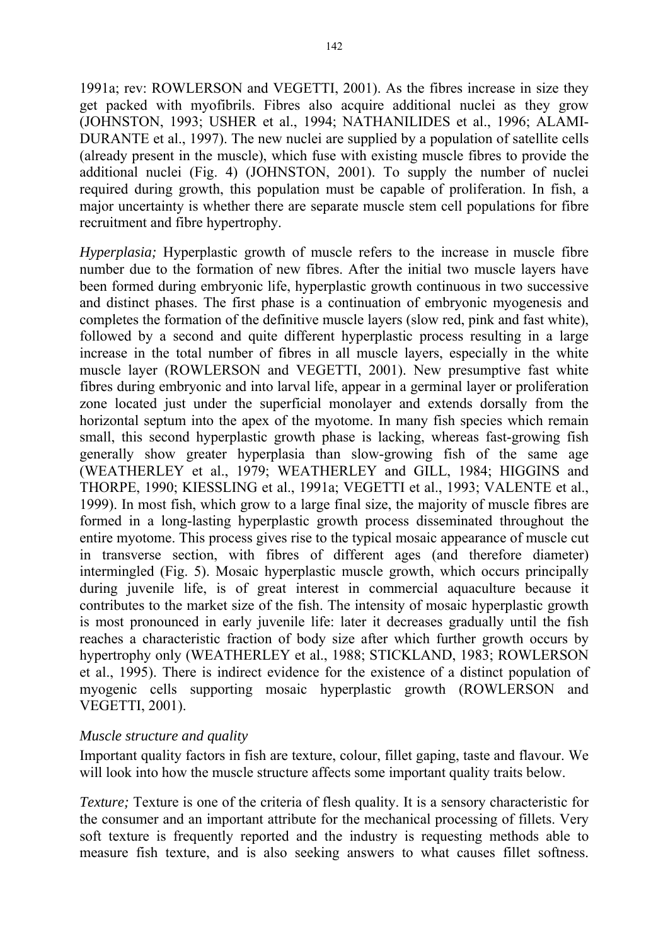1991a; rev: ROWLERSON and VEGETTI, 2001). As the fibres increase in size they get packed with myofibrils. Fibres also acquire additional nuclei as they grow (JOHNSTON, 1993; USHER et al., 1994; NATHANILIDES et al., 1996; ALAMI-DURANTE et al., 1997). The new nuclei are supplied by a population of satellite cells (already present in the muscle), which fuse with existing muscle fibres to provide the additional nuclei (Fig. 4) (JOHNSTON, 2001). To supply the number of nuclei required during growth, this population must be capable of proliferation. In fish, a major uncertainty is whether there are separate muscle stem cell populations for fibre recruitment and fibre hypertrophy.

*Hyperplasia:* Hyperplastic growth of muscle refers to the increase in muscle fibre number due to the formation of new fibres. After the initial two muscle layers have been formed during embryonic life, hyperplastic growth continuous in two successive and distinct phases. The first phase is a continuation of embryonic myogenesis and completes the formation of the definitive muscle layers (slow red, pink and fast white), followed by a second and quite different hyperplastic process resulting in a large increase in the total number of fibres in all muscle layers, especially in the white muscle layer (ROWLERSON and VEGETTI, 2001). New presumptive fast white fibres during embryonic and into larval life, appear in a germinal layer or proliferation zone located just under the superficial monolayer and extends dorsally from the horizontal septum into the apex of the myotome. In many fish species which remain small, this second hyperplastic growth phase is lacking, whereas fast-growing fish generally show greater hyperplasia than slow-growing fish of the same age (WEATHERLEY et al., 1979; WEATHERLEY and GILL, 1984; HIGGINS and THORPE, 1990; KIESSLING et al., 1991a; VEGETTI et al., 1993; VALENTE et al., 1999). In most fish, which grow to a large final size, the majority of muscle fibres are formed in a long-lasting hyperplastic growth process disseminated throughout the entire myotome. This process gives rise to the typical mosaic appearance of muscle cut in transverse section, with fibres of different ages (and therefore diameter) intermingled (Fig. 5). Mosaic hyperplastic muscle growth, which occurs principally during juvenile life, is of great interest in commercial aquaculture because it contributes to the market size of the fish. The intensity of mosaic hyperplastic growth is most pronounced in early juvenile life: later it decreases gradually until the fish reaches a characteristic fraction of body size after which further growth occurs by hypertrophy only (WEATHERLEY et al., 1988; STICKLAND, 1983; ROWLERSON et al., 1995). There is indirect evidence for the existence of a distinct population of myogenic cells supporting mosaic hyperplastic growth (ROWLERSON and VEGETTI, 2001).

# *Muscle structure and quality*

Important quality factors in fish are texture, colour, fillet gaping, taste and flavour. We will look into how the muscle structure affects some important quality traits below.

*Texture;* Texture is one of the criteria of flesh quality. It is a sensory characteristic for the consumer and an important attribute for the mechanical processing of fillets. Very soft texture is frequently reported and the industry is requesting methods able to measure fish texture, and is also seeking answers to what causes fillet softness.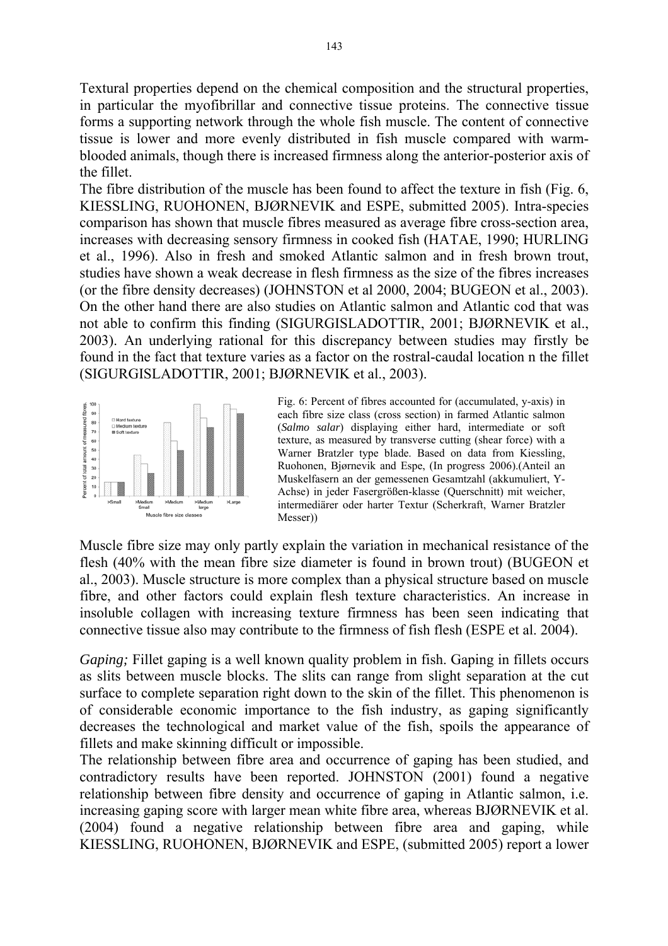Textural properties depend on the chemical composition and the structural properties, in particular the myofibrillar and connective tissue proteins. The connective tissue forms a supporting network through the whole fish muscle. The content of connective tissue is lower and more evenly distributed in fish muscle compared with warmblooded animals, though there is increased firmness along the anterior-posterior axis of the fillet.

The fibre distribution of the muscle has been found to affect the texture in fish (Fig. 6, KIESSLING, RUOHONEN, BJØRNEVIK and ESPE, submitted 2005). Intra-species comparison has shown that muscle fibres measured as average fibre cross-section area, increases with decreasing sensory firmness in cooked fish (HATAE, 1990; HURLING et al., 1996). Also in fresh and smoked Atlantic salmon and in fresh brown trout, studies have shown a weak decrease in flesh firmness as the size of the fibres increases (or the fibre density decreases) (JOHNSTON et al 2000, 2004; BUGEON et al., 2003). On the other hand there are also studies on Atlantic salmon and Atlantic cod that was not able to confirm this finding (SIGURGISLADOTTIR, 2001; BJØRNEVIK et al., 2003). An underlying rational for this discrepancy between studies may firstly be found in the fact that texture varies as a factor on the rostral-caudal location n the fillet (SIGURGISLADOTTIR, 2001; BJØRNEVIK et al., 2003).



Fig. 6: Percent of fibres accounted for (accumulated, y-axis) in each fibre size class (cross section) in farmed Atlantic salmon (*Salmo salar*) displaying either hard, intermediate or soft texture, as measured by transverse cutting (shear force) with a Warner Bratzler type blade. Based on data from Kiessling, Ruohonen, Bjørnevik and Espe, (In progress 2006).(Anteil an Muskelfasern an der gemessenen Gesamtzahl (akkumuliert, Y-Achse) in jeder Fasergrößen-klasse (Querschnitt) mit weicher, intermediärer oder harter Textur (Scherkraft, Warner Bratzler Messer))

Muscle fibre size may only partly explain the variation in mechanical resistance of the flesh (40% with the mean fibre size diameter is found in brown trout) (BUGEON et al., 2003). Muscle structure is more complex than a physical structure based on muscle fibre, and other factors could explain flesh texture characteristics. An increase in insoluble collagen with increasing texture firmness has been seen indicating that connective tissue also may contribute to the firmness of fish flesh (ESPE et al. 2004).

*Gaping*: Fillet gaping is a well known quality problem in fish. Gaping in fillets occurs as slits between muscle blocks. The slits can range from slight separation at the cut surface to complete separation right down to the skin of the fillet. This phenomenon is of considerable economic importance to the fish industry, as gaping significantly decreases the technological and market value of the fish, spoils the appearance of fillets and make skinning difficult or impossible.

The relationship between fibre area and occurrence of gaping has been studied, and contradictory results have been reported. JOHNSTON (2001) found a negative relationship between fibre density and occurrence of gaping in Atlantic salmon, i.e. increasing gaping score with larger mean white fibre area, whereas BJØRNEVIK et al. (2004) found a negative relationship between fibre area and gaping, while KIESSLING, RUOHONEN, BJØRNEVIK and ESPE, (submitted 2005) report a lower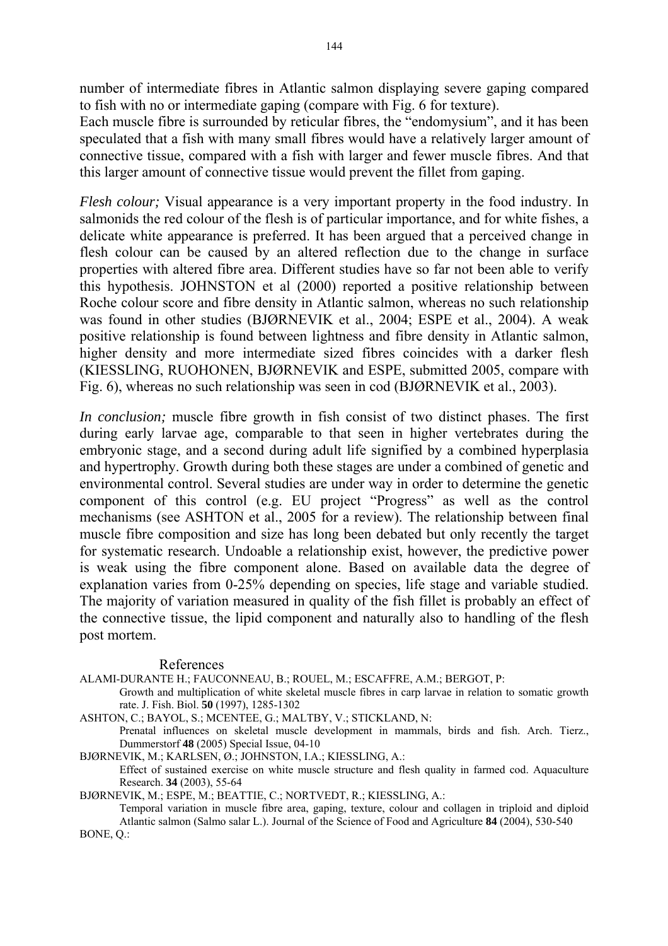number of intermediate fibres in Atlantic salmon displaying severe gaping compared to fish with no or intermediate gaping (compare with Fig. 6 for texture).

Each muscle fibre is surrounded by reticular fibres, the "endomysium", and it has been speculated that a fish with many small fibres would have a relatively larger amount of connective tissue, compared with a fish with larger and fewer muscle fibres. And that this larger amount of connective tissue would prevent the fillet from gaping.

*Flesh colour*; Visual appearance is a very important property in the food industry. In salmonids the red colour of the flesh is of particular importance, and for white fishes, a delicate white appearance is preferred. It has been argued that a perceived change in flesh colour can be caused by an altered reflection due to the change in surface properties with altered fibre area. Different studies have so far not been able to verify this hypothesis. JOHNSTON et al (2000) reported a positive relationship between Roche colour score and fibre density in Atlantic salmon, whereas no such relationship was found in other studies (BJØRNEVIK et al., 2004; ESPE et al., 2004). A weak positive relationship is found between lightness and fibre density in Atlantic salmon, higher density and more intermediate sized fibres coincides with a darker flesh (KIESSLING, RUOHONEN, BJØRNEVIK and ESPE, submitted 2005, compare with Fig. 6), whereas no such relationship was seen in cod (BJØRNEVIK et al., 2003).

*In conclusion;* muscle fibre growth in fish consist of two distinct phases. The first during early larvae age, comparable to that seen in higher vertebrates during the embryonic stage, and a second during adult life signified by a combined hyperplasia and hypertrophy. Growth during both these stages are under a combined of genetic and environmental control. Several studies are under way in order to determine the genetic component of this control (e.g. EU project "Progress" as well as the control mechanisms (see ASHTON et al., 2005 for a review). The relationship between final muscle fibre composition and size has long been debated but only recently the target for systematic research. Undoable a relationship exist, however, the predictive power is weak using the fibre component alone. Based on available data the degree of explanation varies from 0-25% depending on species, life stage and variable studied. The majority of variation measured in quality of the fish fillet is probably an effect of the connective tissue, the lipid component and naturally also to handling of the flesh post mortem.

## References

ALAMI-DURANTE H.; FAUCONNEAU, B.; ROUEL, M.; ESCAFFRE, A.M.; BERGOT, P:

Growth and multiplication of white skeletal muscle fibres in carp larvae in relation to somatic growth rate. J. Fish. Biol. **50** (1997), 1285-1302

ASHTON, C.; BAYOL, S.; MCENTEE, G.; MALTBY, V.; STICKLAND, N: Prenatal influences on skeletal muscle development in mammals, birds and fish. Arch. Tierz.,

Dummerstorf **48** (2005) Special Issue, 04-10

BJØRNEVIK, M.; KARLSEN, Ø.; JOHNSTON, I.A.; KIESSLING, A.: Effect of sustained exercise on white muscle structure and flesh quality in farmed cod. Aquaculture Research. **34** (2003), 55-64

BJØRNEVIK, M.; ESPE, M.; BEATTIE, C.; NORTVEDT, R.; KIESSLING, A.:

Temporal variation in muscle fibre area, gaping, texture, colour and collagen in triploid and diploid Atlantic salmon (Salmo salar L.). Journal of the Science of Food and Agriculture **84** (2004), 530-540 BONE, Q.: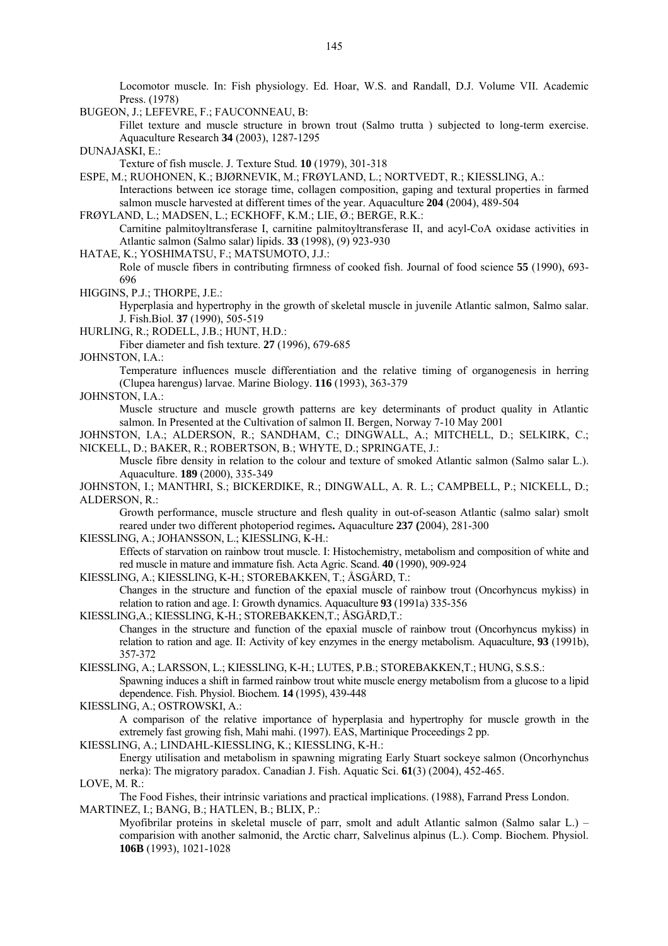Locomotor muscle. In: Fish physiology. Ed. Hoar, W.S. and Randall, D.J. Volume VII. Academic Press. (1978)

BUGEON, J.; LEFEVRE, F.; FAUCONNEAU, B:

Fillet texture and muscle structure in brown trout (Salmo trutta ) subjected to long-term exercise. Aquaculture Research **34** (2003), 1287-1295

DUNAJASKI, E.:

Texture of fish muscle. J. Texture Stud. **10** (1979), 301-318

ESPE, M.; RUOHONEN, K.; BJØRNEVIK, M.; FRØYLAND, L.; NORTVEDT, R.; KIESSLING, A.:

Interactions between ice storage time, collagen composition, gaping and textural properties in farmed salmon muscle harvested at different times of the year. Aquaculture **204** (2004), 489-504

FRØYLAND, L.; MADSEN, L.; ECKHOFF, K.M.; LIE, Ø.; BERGE, R.K.: Carnitine palmitoyltransferase I, carnitine palmitoyltransferase II, and acyl-CoA oxidase activities in Atlantic salmon (Salmo salar) lipids. **33** (1998), (9) 923-930

HATAE, K.; YOSHIMATSU, F.; MATSUMOTO, J.J.:

Role of muscle fibers in contributing firmness of cooked fish. Journal of food science **55** (1990), 693- 696

HIGGINS, P.J.; THORPE, J.E.:

Hyperplasia and hypertrophy in the growth of skeletal muscle in juvenile Atlantic salmon, Salmo salar. J. Fish.Biol. **37** (1990), 505-519

HURLING, R.; RODELL, J.B.; HUNT, H.D.:

Fiber diameter and fish texture. **27** (1996), 679-685

JOHNSTON, I.A.:

Temperature influences muscle differentiation and the relative timing of organogenesis in herring (Clupea harengus) larvae. Marine Biology. **116** (1993), 363-379

JOHNSTON, I.A.:

Muscle structure and muscle growth patterns are key determinants of product quality in Atlantic salmon. In Presented at the Cultivation of salmon II. Bergen, Norway 7-10 May 2001

JOHNSTON, I.A.; ALDERSON, R.; SANDHAM, C.; DINGWALL, A.; MITCHELL, D.; SELKIRK, C.; NICKELL, D.; BAKER, R.; ROBERTSON, B.; WHYTE, D.; SPRINGATE, J.:

Muscle fibre density in relation to the colour and texture of smoked Atlantic salmon (Salmo salar L.). Aquaculture. **189** (2000), 335-349

JOHNSTON, I.; MANTHRI, S.; BICKERDIKE, R.; DINGWALL, A. R. L.; CAMPBELL, P.; NICKELL, D.; ALDERSON, R.:

Growth performance, muscle structure and flesh quality in out-of-season Atlantic (salmo salar) smolt reared under two different photoperiod regimes**.** Aquaculture **237 (**2004), 281-300

KIESSLING, A.; JOHANSSON, L.; KIESSLING, K-H.:

Effects of starvation on rainbow trout muscle. I: Histochemistry, metabolism and composition of white and red muscle in mature and immature fish. Acta Agric. Scand. **40** (1990), 909-924

KIESSLING, A.; KIESSLING, K-H.; STOREBAKKEN, T.; ÅSGÅRD, T.: Changes in the structure and function of the epaxial muscle of rainbow trout (Oncorhyncus mykiss) in relation to ration and age. I: Growth dynamics. Aquaculture **93** (1991a) 335-356

KIESSLING,A.; KIESSLING, K-H.; STOREBAKKEN,T.; ÅSGÅRD,T.: Changes in the structure and function of the epaxial muscle of rainbow trout (Oncorhyncus mykiss) in relation to ration and age. II: Activity of key enzymes in the energy metabolism. Aquaculture, **93** (1991b), 357-372

KIESSLING, A.; LARSSON, L.; KIESSLING, K-H.; LUTES, P.B.; STOREBAKKEN,T.; HUNG, S.S.S.: Spawning induces a shift in farmed rainbow trout white muscle energy metabolism from a glucose to a lipid dependence. Fish. Physiol. Biochem. **14** (1995), 439-448

KIESSLING, A.; OSTROWSKI, A.:

A comparison of the relative importance of hyperplasia and hypertrophy for muscle growth in the extremely fast growing fish, Mahi mahi. (1997). EAS, Martinique Proceedings 2 pp.

KIESSLING, A.; LINDAHL-KIESSLING, K.; KIESSLING, K-H.:

Energy utilisation and metabolism in spawning migrating Early Stuart sockeye salmon (Oncorhynchus nerka): The migratory paradox. Canadian J. Fish. Aquatic Sci. **61**(3) (2004), 452-465.

LOVE, M. R.:

The Food Fishes, their intrinsic variations and practical implications. (1988), Farrand Press London. MARTINEZ, I.; BANG, B.; HATLEN, B.; BLIX, P.:

Myofibrilar proteins in skeletal muscle of parr, smolt and adult Atlantic salmon (Salmo salar L.) – comparision with another salmonid, the Arctic charr, Salvelinus alpinus (L.). Comp. Biochem. Physiol. **106B** (1993), 1021-1028